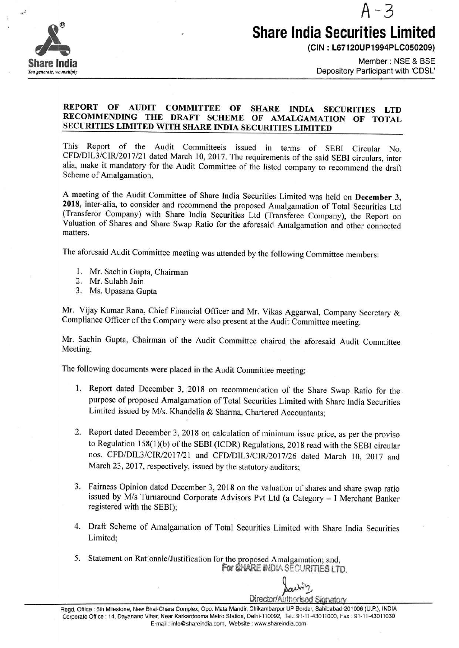

## A-3 **Share India Securities Limited**

**(CIN : L67120UP1994PLC050209)** 

Member: NSE & BSE Depository Participant with 'CDSL'

## **REPORT OF AUDIT COMMITTEE OF SHARE INDIA SECURITIES LTD RECOMMENDING THE DRAFT SCHEME OF AMALGAMATION OF TOTAL SECURITIES LIMITED WITH SHARE INDIA SECURITIES LIMITED**

This Report of the Audit Committeeis issued in terms of SEBI Circular No. CFD/DJL3/CIR/2017/21 dated March 10, 2017. The requirements of the said SEBI circulars, inter alia, make it mandatory for the Audit Committee of the listed company to recommend the draft Scheme of Amalgamation.

A meeting of the Audit Committee of Share India Securities Limited was held on **December 3, 2018,** inter-alia, to consider and recommend the proposed Amalgamation of Total Securities Ltd (Transferor Company) with Share India Securities Ltd (Transferee Company), the Report on Valuation of Shares and Share Swap Ratio for the aforesaid Amalgamation and other connected matters.

The aforesaid Audit Committee meeting was attended by the following Committee members:

- 1. Mr. Sachin Gupta, Chairman
- 2. Mr. Sulabh Jain
- 3. Ms. Upasana Gupta

Mr. Vijay Kumar Rana, Chief Financial Officer and Mr. Vikas Aggarwal, Company Secretary & Compliance Officer of the Company were also present at the Audit Committee meeting.

Mr. Sachin Gupta, Chairman of the Audit Committee chaired the aforesaid Audit Committee Meeting.

The following documents were placed in the Audit Committee meeting:

- 1. Report dated December 3, 2018 on recommendation of the Share Swap Ratio for the purpose of proposed Amalgamation of Total Securities Limited with Share India Securities Limited issued by *Mis.* Khandelia & Sharma, Chartered Accountants;
- 2. Report dated December 3, 2018 on calculation of minimum issue price, as per the proviso to Regulation 158(1 )(b) of the SEBI (ICDR) Regulations, 2018 read with the SEBI circular nos. CFD/DIL3/CIR/2017/21 and CFD/DIL3/CIR/2017/26 dated March 10, 2017 and March 23, 2017, respectively, issued by the statutory auditors;
- 3. Fairness Opinion dated December 3, 2018 on the valuation of shares and share swap ratio issued by *Mis* Turnaround Corporate Advisors Pvt Ltd (a Category - I Merchant Banker registered with the SEBI);
- 4. Draft Scheme of Amalgamation of Total Securities Limited with Share India Securities Limited;
- 5. Statement on Rationale/Justification for the proposed Amalgamation; and, For SHARE INDIA SECURITIES LTD.

*Jack*<sup>2</sup> *Back*<sup>2</sup> *2* 

Regd. Office: 6th Milestone, New Bhai-Chara Complex, Opp. Mata Mandir, Chikambarpur UP Border, Sahibabad-201006 (U.P.), **INDIA**  Corporate Office: 14, Dayanand Vihar, Near Karkardooma Metro Station, Delhi-110092, Tel.: 91-11-43011000, Fax: 91-11-43011030 E-mail: info@shareindia.com, Website: www.shareindia.com